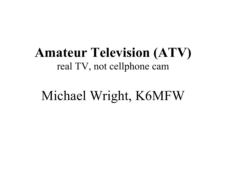## **Amateur Television (ATV)** real TV, not cellphone cam

# Michael Wright, K6MFW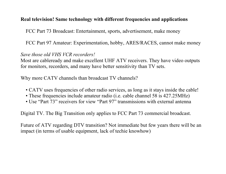#### **Real television! Same technology with different frequencies and applications**

FCC Part 73 Broadcast: Entertainment, sports, advertisement, make money

FCC Part 97 Amateur: Experimentation, hobby, ARES/RACES, cannot make money

#### *Save those old VHS VCR recorders!*

Most are cableready and make excellent UHF ATV receivers. They have video outputs for monitors, recorders, and many have better sensitivity than TV sets.

Why more CATV channels than broadcast TV channels?

- CATV uses frequencies of other radio services, as long as it stays inside the cable!
- These frequencies include amateur radio (i.e. cable channel 58 is 427.25MHz)
- Use "Part 73" receivers for view "Part 97" transmissions with external antenna

Digital TV. The Big Transition only applies to FCC Part 73 commercial broadcast.

Future of ATV regarding DTV transition? Not immediate but few years there will be an impact (in terms of usable equipment, lack of techie knowhow)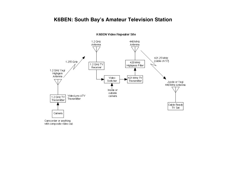#### **K6BEN: South Bay's Amateur Television Station**



K6BEN Video Repeater Site

with composite video out.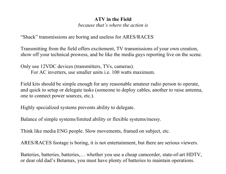#### **ATV in the Field**

*because that's where the action is*

"Shack" transmissions are boring and useless for ARES/RACES

Transmitting from the field offers excitement, TV transmissions of your own creation, show off your technical prowess, and be like the media guys reporting live on the scene.

Only use 12VDC devices (transmitters, TVs, cameras). For AC inverters, use smaller units i.e. 100 watts maximum.

Field kits should be simple enough for any reasonable amateur radio person to operate, and quick to setup or delegate tasks (someone to deploy cables, another to raise antenna, one to connect power sources, etc.).

Highly specialized systems prevents ability to delegate.

Balance of simple systems/limited ability or flexible systems/messy.

Think like media ENG people. Slow movements, framed on subject, etc.

ARES/RACES footage is boring, it is not entertainment, but there are serious viewers.

Batteries, batteries, batteries,… whether you use a cheap camcorder, state-of-art HDTV, or dear old dad's Betamax, you must have plenty of batteries to maintain operations.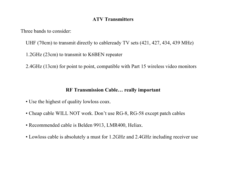#### **ATV Transmitters**

Three bands to consider:

UHF (70cm) to transmit directly to cableready TV sets (421, 427, 434, 439 MHz)

1.2GHz (23cm) to transmit to K6BEN repeater

2.4GHz (13cm) for point to point, compatible with Part 15 wireless video monitors

#### **RF Transmission Cable… really important**

- Use the highest of quality lowloss coax.
- Cheap cable WILL NOT work. Don't use RG-8, RG-58 except patch cables
- Recommended cable is Belden 9913, LMR400, Heliax.
- Lowloss cable is absolutely a must for 1.2GHz and 2.4GHz including receiver use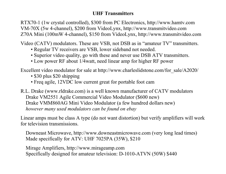#### **UHF Transmitters**

RTX70-1 (1w crystal controlled), \$300 from PC Electronics, http://www.hamtv.com VM-70X (5w 4-channel), \$200 from VideoLynx, http://www.transmitvideo.com Z70A Mini (100mW 4-channel), \$150 from VideoLynx, http://www.transmitvideo.com

Video (CATV) modulators. These are VSB, not DSB as in "amateur TV" transmitters.

- Regular TV receivers are VSB, lower sideband not needed.
- Superior video quality, go with these and never use DSB ATV transmitters.
- Low power RF about 1/4watt, need linear amp for higher RF power

Excellent video modulator for sale at http://www.charleslidstone.com/for\_sale/A2020/

- \$30 plus \$20 shipping
- Freq agile, 12VDC low current great for portable foot cam

R.L. Drake (www.rldrake.com) is a well known manufacturer of CATV modulators Drake VM2551 Agile Commercial Video Modulator (\$600 new) Drake VMM860AG Mini Video Modulator (a few hundred dollars new) *however many used modulators can be found on ebay*

Linear amps must be class A type (do not want distortion) but verify amplifiers will work for television transmissions.

Downeast Microwave, http://www.downeastmicrowave.com (very long lead times) Made specifically for ATV: UHF 7025PA (35W), \$210

Mirage Amplifiers, http://www.mirageamp.com Specifically designed for amateur television: D-1010-ATVN (50W) \$440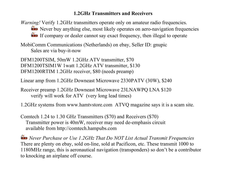#### **1.2GHz Transmitters and Receivers**

*Warning!* Verify 1.2GHz transmitters operate only on amateur radio frequencies. Never buy anything else, most likely operates on aero-navigation frequencies If company or dealer cannot say exact frequency, then illegal to operate

MobiComm Communications (Netherlands) on ebay, Seller ID: gnupic Sales are via buy-it-now

DFM1200TSIM, 50mW 1.2GHz ATV transmitter, \$70 DFM1200TSIM1W 1watt 1.2GHz ATV transmitter, \$130 DFM1200RTIM 1.2GHz receiver, \$80 (needs preamp)

Linear amp from 1.2GHz Downeast Microwave 2330PATV (30W), \$240

Receiver preamp 1.2GHz Downeast Microwave 23LNAWPQ LNA \$120 verify will work for ATV (very long lead times)

1.2GHz systems from www.hamtvstore.com ATVQ magazine says it is a scam site.

Comtech 1.24 to 1.30 GHz Transmitters (\$70) and Receivers (\$70) Transmitter power is 40mW, receiver may need de-emphasis circuit available from http://comtech.hampubs.com

**EEP** Never Purchase or Use 1.2GHz That Do NOT List Actual Transmit Frequencies There are plenty on ebay, sold on-line, sold at Pacificon, etc. These transmit 1000 to 1180MHz range, this is aeronautical navigation (transponders) so don't be a contributor to knocking an airplane off course.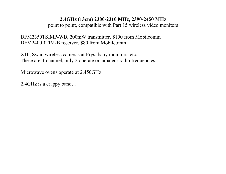#### **2.4GHz (13cm) 2300-2310 MHz, 2390-2450 MHz**

point to point, compatible with Part 15 wireless video monitors

#### DFM2350TSIMP-WB, 200mW transmitter, \$100 from Mobilcomm DFM2400RTIM-B receiver, \$80 from Mobilcomm

X10, Swan wireless cameras at Frys, baby monitors, etc. These are 4-channel, only 2 operate on amateur radio frequencies.

Microwave ovens operate at 2.450GHz

2.4GHz is a crappy band…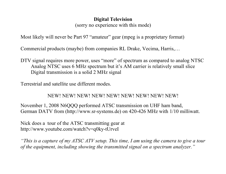#### **Digital Television**

(sorry no experience with this mode)

Most likely will never be Part 97 "amateur" gear (mpeg is a proprietary format)

Commercial products (maybe) from companies RL Drake, Vecima, Harris,…

DTV signal requires more power, uses "more" of spectrum as compared to analog NTSC Analog NTSC uses 6 MHz spectrum but it's AM carrier is relatively small slice Digital transmission is a solid 2 MHz signal

Terrestrial and satellite use different modes.

#### NEW! NEW! NEW! NEW! NEW! NEW! NEW! NEW! NEW!

November 1, 2008 N6QQQ performed ATSC transmission on UHF ham band, German DATV from (http://www.sr-systems.de) on 420-426 MHz with 1/10 milliwatt.

Nick does a tour of the ATSC transmitting gear at http://www.youtube.com/watch?v=q0ky-tUrveI

*"This is a capture of my ATSC ATV setup. This time, I am using the camera to give a tour of the equipment, including showing the transmitted signal on a spectrum analyzer."*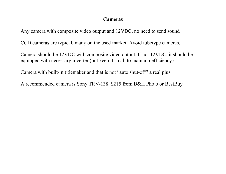#### **Cameras**

Any camera with composite video output and 12VDC, no need to send sound

CCD cameras are typical, many on the used market. Avoid tubetype cameras.

Camera should be 12VDC with composite video output. If not 12VDC, it should be equipped with necessary inverter (but keep it small to maintain efficiency)

Camera with built-in titlemaker and that is not "auto shut-off" a real plus

A recommended camera is Sony TRV-138, \$215 from B&H Photo or BestBuy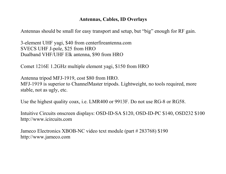#### **Antennas, Cables, ID Overlays**

Antennas should be small for easy transport and setup, but "big" enough for RF gain.

3-element UHF yagi, \$40 from centerfireantenna.com SVECS UHF J-pole, \$25 from HRO Dualband VHF/UHF Elk antenna, \$90 from HRO

Comet 1216E 1.2GHz multiple element yagi, \$150 from HRO

Antenna tripod MFJ-1919, cost \$80 from HRO. MFJ-1919 is superior to ChannelMaster tripods. Lightweight, no tools required, more stable, not as ugly, etc.

Use the highest quality coax, i.e. LMR400 or 9913F. Do not use RG-8 or RG58.

Intuitive Circuits onscreen displays: OSD-ID-SA \$120, OSD-ID-PC \$140, OSD232 \$100 http://www.icircuits.com

Jameco Electronics XBOB-NC video text module (part # 283768) \$190 http://www.jameco.com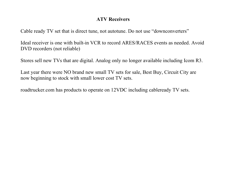#### **ATV Receivers**

Cable ready TV set that is direct tune, not autotune. Do not use "downconverters"

Ideal receiver is one with built-in VCR to record ARES/RACES events as needed. Avoid DVD recorders (not reliable)

Stores sell new TVs that are digital. Analog only no longer available including Icom R3.

Last year there were NO brand new small TV sets for sale, Best Buy, Circuit City are now beginning to stock with small lower cost TV sets.

roadtrucker.com has products to operate on 12VDC including cableready TV sets.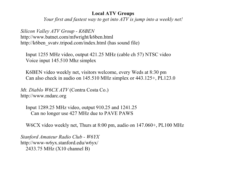#### **Local ATV Groups**

*Your first and fastest way to get into ATV is jump into a weekly net!*

*Silicon Valley ATV Group - K6BEN* http://www.batnet.com/mfwright/k6ben.html http://k6ben\_svatv.tripod.com/index.html (has sound file)

Input 1255 MHz video, output 421.25 MHz (cable ch 57) NTSC video Voice input 145.510 Mhz simplex

K6BEN video weekly net, visitors welcome, every Weds at 8:30 pm Can also check in audio on 145.510 MHz simplex or 443.125+, PL123.0

*Mt. Diablo W6CX ATV* (Contra Costa Co.) http://www.mdarc.org

Input 1289.25 MHz video, output 910.25 and 1241.25 Can no longer use 427 MHz due to PAVE PAWS

W6CX video weekly net, Thurs at 8:00 pm, audio on 147.060+, PL100 MHz

*Stanford Amateur Radio Club - W6YX* http://www-w6yx.stanford.edu/w6yx/ 2433.75 MHz (X10 channel B)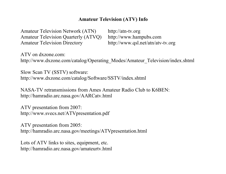#### **Amateur Television (ATV) Info**

Amateur Television Network (ATN) http://atn-tv.org Amateur Television Quarterly (ATVQ) http://www.hampubs.com Amateur Television Directory http://www.qsl.net/atn/atv-tv.org

ATV on dxzone.com: http://www.dxzone.com/catalog/Operating\_Modes/Amateur\_Television/index.shtml

Slow Scan TV (SSTV) software: http://www.dxzone.com/catalog/Software/SSTV/index.shtml

NASA-TV retransmissions from Ames Amateur Radio Club to K6BEN: http://hamradio.arc.nasa.gov/AARCatv.html

ATV presentation from 2007: http://www.svecs.net/ATVpresentation.pdf

ATV presentation from 2005: http://hamradio.arc.nasa.gov/meetings/ATVpresentation.html

Lots of ATV links to sites, equipment, etc. http://hamradio.arc.nasa.gov/amateurtv.html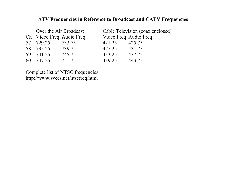#### **ATV Frequencies in Reference to Broadcast and CATV Frequencies**

| Over the Air Broadcast   |        | Cable Television (coax enclosed) |        |  |
|--------------------------|--------|----------------------------------|--------|--|
| Ch Video Freq Audio Freq |        | Video Freq Audio Freq            |        |  |
| 57 729.25                | 733.75 | 421.25                           | 425.75 |  |
| 58 735.25                | 739.75 | 427.25                           | 431.75 |  |
| 59 741.25                | 745.75 | 433.25                           | 437.75 |  |
| 60 747.25                | 751.75 | 439 25                           | 443 75 |  |

Complete list of NTSC frequencies: http://www.svecs.net/ntscfreq.html